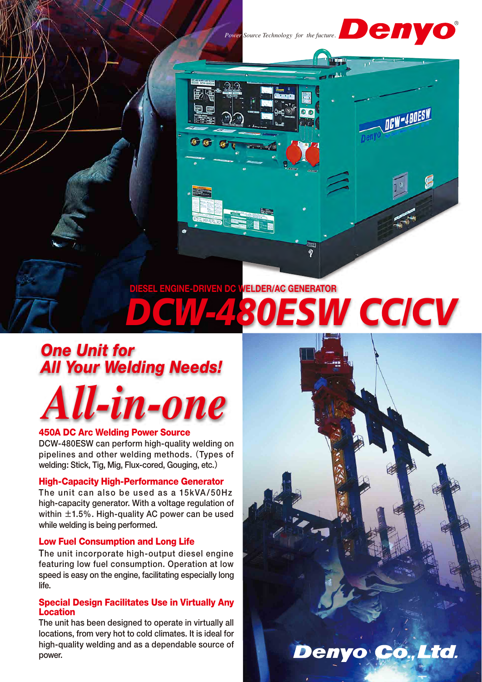

GG



**IRW-40DESW** 

Denyo Co., Ltd.

f

## **ESW CC/CV GINE-DRIVEN DC WELDER/AC GENERATOR**

## *One Unit for All Your Welding Needs!*

# *All-in-one*

#### 450A DC Arc Welding Power Source

DCW-480ESW can perform high-quality welding on pipelines and other welding methods. (Types of welding: Stick, Tig, Mig, Flux-cored, Gouging, etc.)

#### High-Capacity High-Performance Generator

The unit can also be used as a 15kVA/50Hz high-capacity generator. With a voltage regulation of within  $\pm$ 1.5%. High-quality AC power can be used while welding is being performed.

#### Low Fuel Consumption and Long Life

The unit incorporate high-output diesel engine featuring low fuel consumption. Operation at low speed is easy on the engine, facilitating especially long life.

#### Special Design Facilitates Use in Virtually Any Location

The unit has been designed to operate in virtually all locations, from very hot to cold climates. It is ideal for high-quality welding and as a dependable source of power.